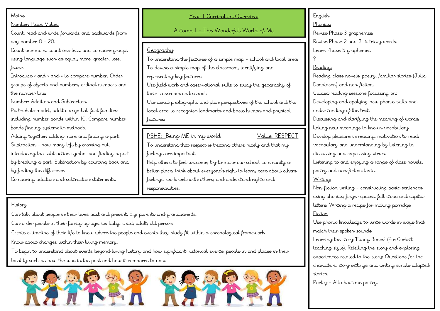## Maths

#### Number: Place Value:

Count, read and write forwards and backwards from any number 0 – 20.

Count one more, count one less, and compare groups using language such as equal, more, greater, less, fewer.

Introduce < and > and = to compare number. Order groups of objects and numbers, ordinal numbers and the number line.

Number: Addition and Subtraction

Part-whole model, addition symbol, fact families including number bonds within 10. Compare number bonds finding systematic methods.

Adding together, adding more and finding a part. Subtraction – how many left by crossing out, introducing the subtraction symbol and finding a part by breaking a part. Subtraction by counting back and by finding the difference.

Comparing addition and subtraction statements.

Year 1 Curriculum Overview

Autumn 1 – The Wonderful World of Me

## Geography

To understand the features of a simple map – school and local area. To devise a simple map of the classroom, identifying and representing key features.

Use field work and observational skills to study the geography of their classroom and school.

Use aerial photographs and plan perspectives of the school and the local area to recognise landmarks and basic human and physical features.

PSHE: Being ME in my world Value: RESPECT

To understand that respect is treating others nicely and that my feelings are important.

Help others to feel welcome, try to make our school community a better place, think about everyone's right to learn, care about others feelings, work well with others, and understand rights and responsibilities.

### History

Can talk about people in their lives past and present. E.g. parents and grandparents.

Can order people in their family by age, i.e. baby, child, adult, old person.

Create a timeline of their life to know where the people and events they study fit within a chronological framework.

Know about changes within their living memory.

To begin to understand about events beyond living history and how significant historical events, people in and places in their locality such as how the was in the past and how it compares to now.



# English Phonics: Revise Phase 3 graphemes. Revise Phase 2 and 3, 4 tricky words. Learn Phase 5 graphemes ? Reading: Reading class novels, poetry, familiar stories (Julia Donaldson) and non-fiction. Guided reading sessions focussing on: Developing and applying new phonic skills and understanding of the text. Discussing and clarifying the meaning of words, linking new meanings to known vocabulary. Develop pleasure in reading, motivation to read, vocabulary and understanding by listening to, discussing and expressing views. Listening to and enjoying a range of class novels, poetry and non-fiction texts. Writing: Non-fiction writing – constructing basic sentences using phonics, finger spaces, full stops and capital letters. Writing a recipe for making porridge. Fiction – Use phonic knowledge to write words in ways that match their spoken sounds. Learning the story 'Funny Bones' (Pie Corbett teaching style). Retelling the story and exploring experiences related to the story: Questions for the characters, story settings and writing simple adapted

stories. Poetry – All about me poetry.